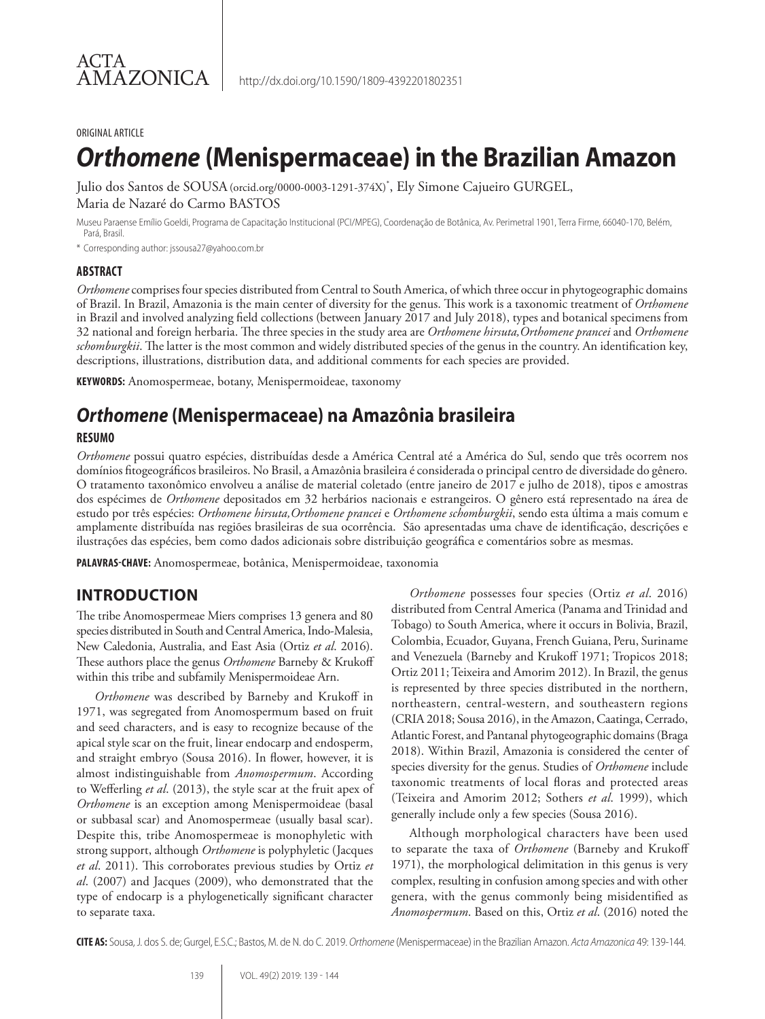#### ORIGINAL ARTICLE

# *Orthomene* **(Menispermaceae) in the Brazilian Amazon**

Julio dos Santos de SOUSA(orcid.org/0000-0003-1291-374X)\* , Ely Simone Cajueiro GURGEL, Maria de Nazaré do Carmo BASTOS

Museu Paraense Emílio Goeldi, Programa de Capacitação Institucional (PCI/MPEG), Coordenação de Botânica, Av. Perimetral 1901, Terra Firme, 66040-170, Belém, Pará, Brasil.

\* Corresponding author: jssousa27@yahoo.com.br

#### **ABSTRACT**

*Orthomene* comprises four species distributed from Central to South America, of which three occur in phytogeographic domains of Brazil. In Brazil, Amazonia is the main center of diversity for the genus. This work is a taxonomic treatment of *Orthomene* in Brazil and involved analyzing field collections (between January 2017 and July 2018), types and botanical specimens from 32 national and foreign herbaria. The three species in the study area are *Orthomene hirsuta,Orthomene prancei* and *Orthomene schomburgkii*. The latter is the most common and widely distributed species of the genus in the country. An identification key, descriptions, illustrations, distribution data, and additional comments for each species are provided.

**KEYWORDS:** Anomospermeae, botany, Menispermoideae, taxonomy

# *Orthomene* **(Menispermaceae) na Amazônia brasileira**

#### **RESUMO**

*Orthomene* possui quatro espécies, distribuídas desde a América Central até a América do Sul, sendo que três ocorrem nos domínios fitogeográficos brasileiros. No Brasil, a Amazônia brasileira é considerada o principal centro de diversidade do gênero. O tratamento taxonômico envolveu a análise de material coletado (entre janeiro de 2017 e julho de 2018), tipos e amostras dos espécimes de *Orthomene* depositados em 32 herbários nacionais e estrangeiros. O gênero está representado na área de estudo por três espécies: *Orthomene hirsuta,Orthomene prancei* e *Orthomene schomburgkii*, sendo esta última a mais comum e amplamente distribuída nas regiões brasileiras de sua ocorrência. São apresentadas uma chave de identificação, descrições e ilustrações das espécies, bem como dados adicionais sobre distribuição geográfica e comentários sobre as mesmas.

**PALAVRAS-CHAVE:** Anomospermeae, botânica, Menispermoideae, taxonomia

### **INTRODUCTION**

The tribe Anomospermeae Miers comprises 13 genera and 80 species distributed in South and Central America, Indo-Malesia, New Caledonia, Australia, and East Asia (Ortiz *et al*. 2016). These authors place the genus *Orthomene* Barneby & Krukoff within this tribe and subfamily Menispermoideae Arn.

*Orthomene* was described by Barneby and Krukoff in 1971, was segregated from Anomospermum based on fruit and seed characters, and is easy to recognize because of the apical style scar on the fruit, linear endocarp and endosperm, and straight embryo (Sousa 2016). In flower, however, it is almost indistinguishable from *Anomospermum*. According to Wefferling *et al*. (2013), the style scar at the fruit apex of *Orthomene* is an exception among Menispermoideae (basal or subbasal scar) and Anomospermeae (usually basal scar). Despite this, tribe Anomospermeae is monophyletic with strong support, although *Orthomene* is polyphyletic (Jacques *et al*. 2011). This corroborates previous studies by Ortiz *et al*. (2007) and Jacques (2009), who demonstrated that the type of endocarp is a phylogenetically significant character to separate taxa.

*Orthomene* possesses four species (Ortiz *et al*. 2016) distributed from Central America (Panama and Trinidad and Tobago) to South America, where it occurs in Bolivia, Brazil, Colombia, Ecuador, Guyana, French Guiana, Peru, Suriname and Venezuela (Barneby and Krukoff 1971; Tropicos 2018; Ortiz 2011; Teixeira and Amorim 2012). In Brazil, the genus is represented by three species distributed in the northern, northeastern, central-western, and southeastern regions (CRIA 2018; Sousa 2016), in the Amazon, Caatinga, Cerrado, Atlantic Forest, and Pantanal phytogeographic domains (Braga 2018). Within Brazil, Amazonia is considered the center of species diversity for the genus. Studies of *Orthomene* include taxonomic treatments of local floras and protected areas (Teixeira and Amorim 2012; Sothers *et al*. 1999), which generally include only a few species (Sousa 2016).

Although morphological characters have been used to separate the taxa of *Orthomene* (Barneby and Krukoff 1971), the morphological delimitation in this genus is very complex, resulting in confusion among species and with other genera, with the genus commonly being misidentified as *Anomospermum*. Based on this, Ortiz *et al*. (2016) noted the

**CITE AS:** Sousa, J. dos S. de; Gurgel, E.S.C.; Bastos, M. de N. do C. 2019. *Orthomene* (Menispermaceae) in the Brazilian Amazon. *Acta Amazonica* 49: 139-144.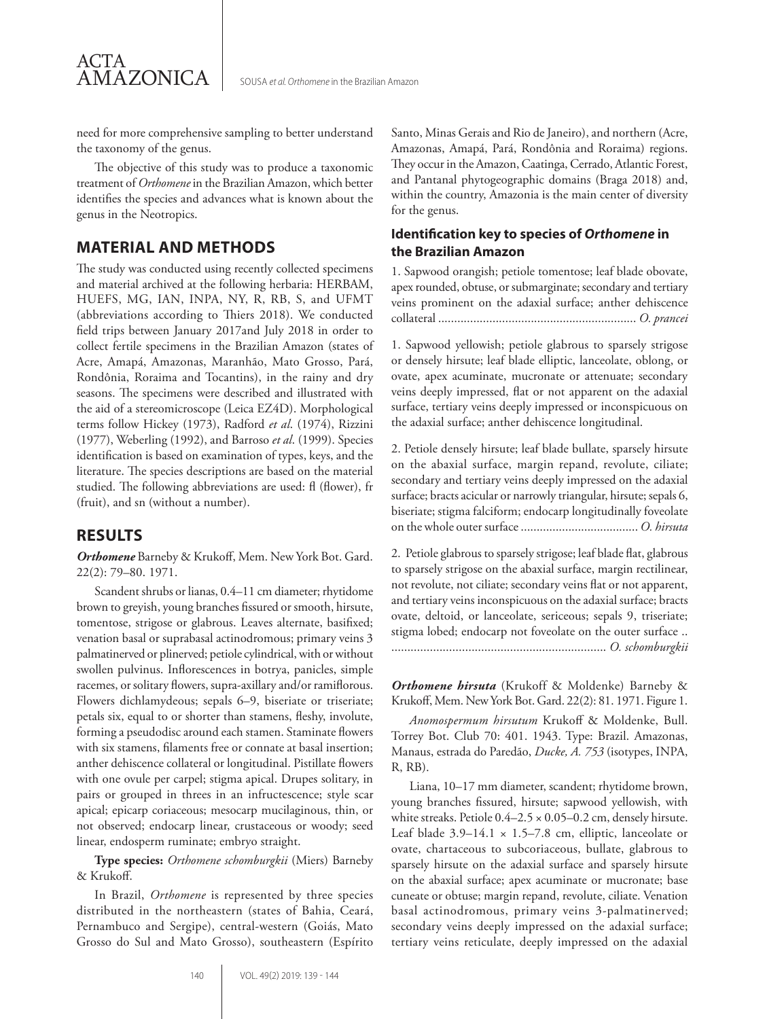need for more comprehensive sampling to better understand the taxonomy of the genus.

The objective of this study was to produce a taxonomic treatment of *Orthomene* in the Brazilian Amazon, which better identifies the species and advances what is known about the genus in the Neotropics.

# **MATERIAL AND METHODS**

The study was conducted using recently collected specimens and material archived at the following herbaria: HERBAM, HUEFS, MG, IAN, INPA, NY, R, RB, S, and UFMT (abbreviations according to Thiers 2018). We conducted field trips between January 2017and July 2018 in order to collect fertile specimens in the Brazilian Amazon (states of Acre, Amapá, Amazonas, Maranhão, Mato Grosso, Pará, Rondônia, Roraima and Tocantins), in the rainy and dry seasons. The specimens were described and illustrated with the aid of a stereomicroscope (Leica EZ4D). Morphological terms follow Hickey (1973), Radford *et al*. (1974), Rizzini (1977), Weberling (1992), and Barroso *et al*. (1999). Species identification is based on examination of types, keys, and the literature. The species descriptions are based on the material studied. The following abbreviations are used: fl (flower), fr (fruit), and sn (without a number).

### **RESULTS**

ACTA

**AMAZONICA** 

*Orthomene* Barneby & Krukoff, Mem. New York Bot. Gard. 22(2): 79–80. 1971.

Scandent shrubs or lianas, 0.4–11 cm diameter; rhytidome brown to greyish, young branches fissured or smooth, hirsute, tomentose, strigose or glabrous. Leaves alternate, basifixed; venation basal or suprabasal actinodromous; primary veins 3 palmatinerved or plinerved; petiole cylindrical, with or without swollen pulvinus. Inflorescences in botrya, panicles, simple racemes, or solitary flowers, supra-axillary and/or ramiflorous. Flowers dichlamydeous; sepals 6-9, biseriate or triseriate; petals six, equal to or shorter than stamens, fleshy, involute, forming a pseudodisc around each stamen. Staminate flowers with six stamens, filaments free or connate at basal insertion; anther dehiscence collateral or longitudinal. Pistillate flowers with one ovule per carpel; stigma apical. Drupes solitary, in pairs or grouped in threes in an infructescence; style scar apical; epicarp coriaceous; mesocarp mucilaginous, thin, or not observed; endocarp linear, crustaceous or woody; seed linear, endosperm ruminate; embryo straight.

**Type species:** *Orthomene schomburgkii* (Miers) Barneby & Krukoff.

In Brazil, *Orthomene* is represented by three species distributed in the northeastern (states of Bahia, Ceará, Pernambuco and Sergipe), central-western (Goiás, Mato Grosso do Sul and Mato Grosso), southeastern (Espírito Santo, Minas Gerais and Rio de Janeiro), and northern (Acre, Amazonas, Amapá, Pará, Rondônia and Roraima) regions. They occur in the Amazon, Caatinga, Cerrado, Atlantic Forest, and Pantanal phytogeographic domains (Braga 2018) and, within the country, Amazonia is the main center of diversity for the genus.

#### **Identification key to species of** *Orthomene* **in the Brazilian Amazon**

1. Sapwood orangish; petiole tomentose; leaf blade obovate, apex rounded, obtuse, or submarginate; secondary and tertiary veins prominent on the adaxial surface; anther dehiscence collateral .............................................................. *O. prancei*

1. Sapwood yellowish; petiole glabrous to sparsely strigose or densely hirsute; leaf blade elliptic, lanceolate, oblong, or ovate, apex acuminate, mucronate or attenuate; secondary veins deeply impressed, flat or not apparent on the adaxial surface, tertiary veins deeply impressed or inconspicuous on the adaxial surface; anther dehiscence longitudinal.

2. Petiole densely hirsute; leaf blade bullate, sparsely hirsute on the abaxial surface, margin repand, revolute, ciliate; secondary and tertiary veins deeply impressed on the adaxial surface; bracts acicular or narrowly triangular, hirsute; sepals 6, biseriate; stigma falciform; endocarp longitudinally foveolate on the whole outer surface ..................................... *O. hirsuta*

2. Petiole glabrous to sparsely strigose; leaf blade flat, glabrous to sparsely strigose on the abaxial surface, margin rectilinear, not revolute, not ciliate; secondary veins flat or not apparent, and tertiary veins inconspicuous on the adaxial surface; bracts ovate, deltoid, or lanceolate, sericeous; sepals 9, triseriate; stigma lobed; endocarp not foveolate on the outer surface .. ................................................................... *O. schomburgkii*

*Orthomene hirsuta* (Krukoff & Moldenke) Barneby & Krukoff, Mem. New York Bot. Gard. 22(2): 81. 1971. Figure 1.

*Anomospermum hirsutum* Krukoff & Moldenke, Bull. Torrey Bot. Club 70: 401. 1943. Type: Brazil. Amazonas, Manaus, estrada do Paredão, *Ducke, A. 753* (isotypes, INPA, R, RB).

Liana, 10–17 mm diameter, scandent; rhytidome brown, young branches fissured, hirsute; sapwood yellowish, with white streaks. Petiole  $0.4-2.5 \times 0.05-0.2$  cm, densely hirsute. Leaf blade  $3.9-14.1 \times 1.5-7.8$  cm, elliptic, lanceolate or ovate, chartaceous to subcoriaceous, bullate, glabrous to sparsely hirsute on the adaxial surface and sparsely hirsute on the abaxial surface; apex acuminate or mucronate; base cuneate or obtuse; margin repand, revolute, ciliate. Venation basal actinodromous, primary veins 3-palmatinerved; secondary veins deeply impressed on the adaxial surface; tertiary veins reticulate, deeply impressed on the adaxial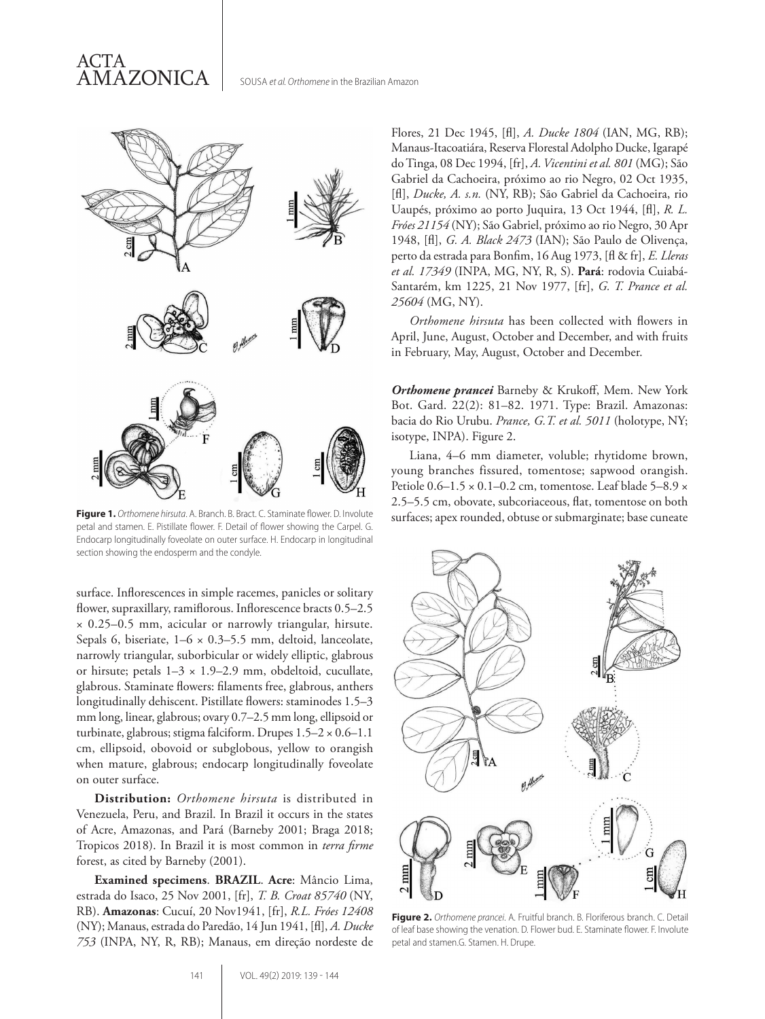

petal and stamen. E. Pistillate flower. F. Detail of flower showing the Carpel. G. Endocarp longitudinally foveolate on outer surface. H. Endocarp in longitudinal section showing the endosperm and the condyle.

surface. Inflorescences in simple racemes, panicles or solitary flower, supraxillary, ramiflorous. Inflorescence bracts 0.5–2.5 × 0.25–0.5 mm, acicular or narrowly triangular, hirsute. Sepals 6, biseriate, 1–6 × 0.3–5.5 mm, deltoid, lanceolate, narrowly triangular, suborbicular or widely elliptic, glabrous or hirsute; petals 1–3 × 1.9–2.9 mm, obdeltoid, cucullate, glabrous. Staminate flowers: filaments free, glabrous, anthers longitudinally dehiscent. Pistillate flowers: staminodes 1.5–3 mm long, linear, glabrous; ovary 0.7–2.5 mm long, ellipsoid or turbinate, glabrous; stigma falciform. Drupes  $1.5-2 \times 0.6-1.1$ cm, ellipsoid, obovoid or subglobous, yellow to orangish when mature, glabrous; endocarp longitudinally foveolate on outer surface.

**Distribution:** *Orthomene hirsuta* is distributed in Venezuela, Peru, and Brazil. In Brazil it occurs in the states of Acre, Amazonas, and Pará (Barneby 2001; Braga 2018; Tropicos 2018). In Brazil it is most common in *terra firme* forest, as cited by Barneby (2001).

**Examined specimens**. **BRAZIL**. **Acre**: Mâncio Lima, estrada do Isaco, 25 Nov 2001, [fr], *T. B. Croat 85740* (NY, RB). **Amazonas**: Cucuí, 20 Nov1941, [fr], *R.L. Fróes 12408*  (NY); Manaus, estrada do Paredão, 14 Jun 1941, [fl], *A. Ducke 753* (INPA, NY, R, RB); Manaus, em direção nordeste de Flores, 21 Dec 1945, [fl], *A. Ducke 1804* (IAN, MG, RB); Manaus-Itacoatiára, Reserva Florestal Adolpho Ducke, Igarapé do Tinga, 08 Dec 1994, [fr], *A. Vicentini et al. 801* (MG); São Gabriel da Cachoeira, próximo ao rio Negro, 02 Oct 1935, [fl], *Ducke, A. s.n.* (NY, RB); São Gabriel da Cachoeira, rio Uaupés, próximo ao porto Juquira, 13 Oct 1944, [fl], *R. L. Fróes 21154* (NY); São Gabriel, próximo ao rio Negro, 30 Apr 1948, [fl], *G. A. Black 2473* (IAN); São Paulo de Olivença, perto da estrada para Bonfim, 16 Aug 1973, [fl & fr], *E. Lleras et al. 17349* (INPA, MG, NY, R, S). **Pará**: rodovia Cuiabá-Santarém, km 1225, 21 Nov 1977, [fr], *G. T. Prance et al. 25604* (MG, NY).

*Orthomene hirsuta* has been collected with flowers in April, June, August, October and December, and with fruits in February, May, August, October and December.

*Orthomene prancei* Barneby & Krukoff, Mem. New York Bot. Gard. 22(2): 81–82. 1971. Type: Brazil. Amazonas: bacia do Rio Urubu. *Prance, G.T. et al. 5011* (holotype, NY; isotype, INPA). Figure 2.

Liana, 4–6 mm diameter, voluble; rhytidome brown, young branches fissured, tomentose; sapwood orangish. Petiole  $0.6-1.5 \times 0.1-0.2$  cm, tomentose. Leaf blade  $5-8.9 \times$ 2.5–5.5 cm, obovate, subcoriaceous, flat, tomentose on both Figure 1. Orthomene hirsuta. A. Branch. B. Bract. C. Staminate flower. D. Involute surfaces; apex rounded, obtuse or submarginate; base cuneate



**Figure 2.** *Orthomene prancei*. A. Fruitful branch. B. Floriferous branch. C. Detail of leaf base showing the venation. D. Flower bud. E. Staminate flower. F. Involute petal and stamen.G. Stamen. H. Drupe.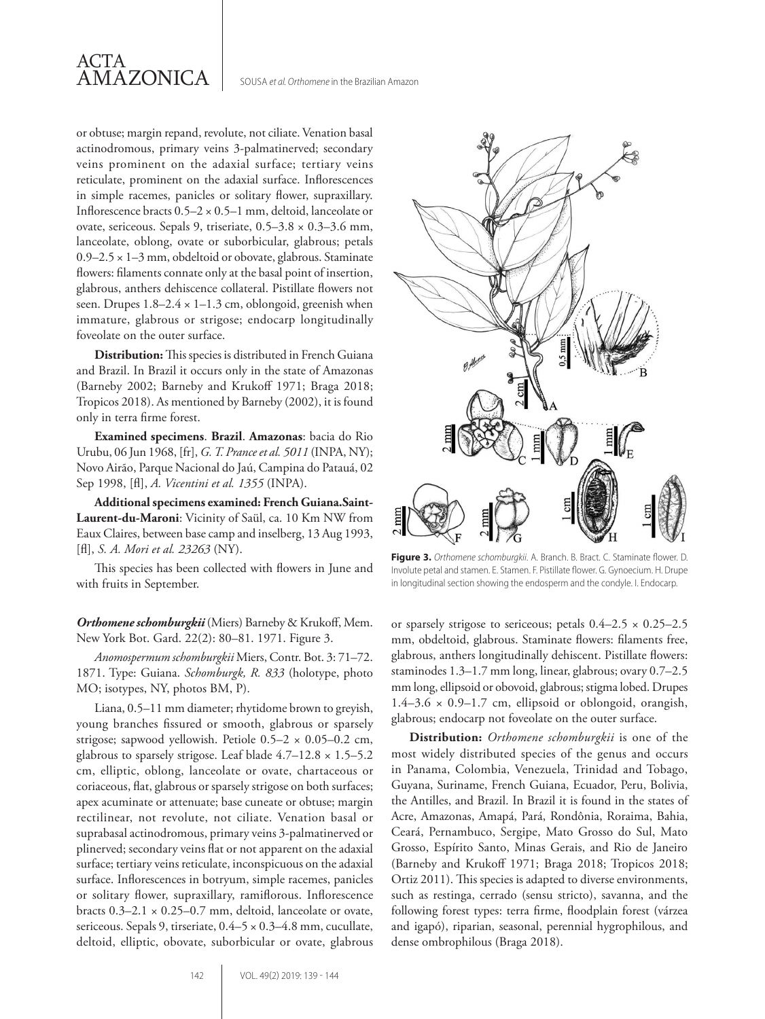

or obtuse; margin repand, revolute, not ciliate. Venation basal actinodromous, primary veins 3-palmatinerved; secondary veins prominent on the adaxial surface; tertiary veins reticulate, prominent on the adaxial surface. Inflorescences in simple racemes, panicles or solitary flower, supraxillary. Inflorescence bracts  $0.5-2 \times 0.5-1$  mm, deltoid, lanceolate or ovate, sericeous. Sepals 9, triseriate, 0.5–3.8 × 0.3–3.6 mm, lanceolate, oblong, ovate or suborbicular, glabrous; petals 0.9–2.5 × 1–3 mm, obdeltoid or obovate, glabrous. Staminate flowers: filaments connate only at the basal point of insertion, glabrous, anthers dehiscence collateral. Pistillate flowers not seen. Drupes  $1.8-2.4 \times 1-1.3$  cm, oblongoid, greenish when immature, glabrous or strigose; endocarp longitudinally foveolate on the outer surface.

**Distribution:** This species is distributed in French Guiana and Brazil. In Brazil it occurs only in the state of Amazonas (Barneby 2002; Barneby and Krukoff 1971; Braga 2018; Tropicos 2018). As mentioned by Barneby (2002), it is found only in terra firme forest.

**Examined specimens**. **Brazil**. **Amazonas**: bacia do Rio Urubu, 06 Jun 1968, [fr], *G. T. Prance et al. 5011* (INPA, NY); Novo Airão, Parque Nacional do Jaú, Campina do Patauá, 02 Sep 1998, [fl], *A. Vicentini et al. 1355* (INPA).

**Additional specimens examined: French Guiana.Saint-Laurent-du-Maroni**: Vicinity of Saül, ca. 10 Km NW from Eaux Claires, between base camp and inselberg, 13 Aug 1993, [fl], *S. A. Mori et al. 23263* (NY).

This species has been collected with flowers in June and with fruits in September.

*Orthomene schomburgkii* (Miers) Barneby & Krukoff, Mem. New York Bot. Gard. 22(2): 80–81. 1971. Figure 3.

*Anomospermum schomburgkii* Miers, Contr. Bot. 3: 71–72. 1871. Type: Guiana. *Schomburgk, R. 833* (holotype, photo MO; isotypes, NY, photos BM, P).

Liana, 0.5–11 mm diameter; rhytidome brown to greyish, young branches fissured or smooth, glabrous or sparsely strigose; sapwood yellowish. Petiole 0.5–2 × 0.05–0.2 cm, glabrous to sparsely strigose. Leaf blade  $4.7-12.8 \times 1.5-5.2$ cm, elliptic, oblong, lanceolate or ovate, chartaceous or coriaceous, flat, glabrous or sparsely strigose on both surfaces; apex acuminate or attenuate; base cuneate or obtuse; margin rectilinear, not revolute, not ciliate. Venation basal or suprabasal actinodromous, primary veins 3-palmatinerved or plinerved; secondary veins flat or not apparent on the adaxial surface; tertiary veins reticulate, inconspicuous on the adaxial surface. Inflorescences in botryum, simple racemes, panicles or solitary flower, supraxillary, ramiflorous. Inflorescence bracts  $0.3-2.1 \times 0.25-0.7$  mm, deltoid, lanceolate or ovate, sericeous. Sepals 9, tirseriate,  $0.4-5 \times 0.3-4.8$  mm, cucullate, deltoid, elliptic, obovate, suborbicular or ovate, glabrous



**Figure 3.** *Orthomene schomburgkii*. A. Branch. B. Bract. C. Staminate flower. D. Involute petal and stamen. E. Stamen. F. Pistillate flower. G. Gynoecium. H. Drupe in longitudinal section showing the endosperm and the condyle. I. Endocarp.

or sparsely strigose to sericeous; petals  $0.4-2.5 \times 0.25-2.5$ mm, obdeltoid, glabrous. Staminate flowers: filaments free, glabrous, anthers longitudinally dehiscent. Pistillate flowers: staminodes 1.3–1.7 mm long, linear, glabrous; ovary 0.7–2.5 mm long, ellipsoid or obovoid, glabrous; stigma lobed. Drupes  $1.4-3.6 \times 0.9-1.7$  cm, ellipsoid or oblongoid, orangish, glabrous; endocarp not foveolate on the outer surface.

**Distribution:** *Orthomene schomburgkii* is one of the most widely distributed species of the genus and occurs in Panama, Colombia, Venezuela, Trinidad and Tobago, Guyana, Suriname, French Guiana, Ecuador, Peru, Bolivia, the Antilles, and Brazil. In Brazil it is found in the states of Acre, Amazonas, Amapá, Pará, Rondônia, Roraima, Bahia, Ceará, Pernambuco, Sergipe, Mato Grosso do Sul, Mato Grosso, Espírito Santo, Minas Gerais, and Rio de Janeiro (Barneby and Krukoff 1971; Braga 2018; Tropicos 2018; Ortiz 2011). This species is adapted to diverse environments, such as restinga, cerrado (sensu stricto), savanna, and the following forest types: terra firme, floodplain forest (várzea and igapó), riparian, seasonal, perennial hygrophilous, and dense ombrophilous (Braga 2018).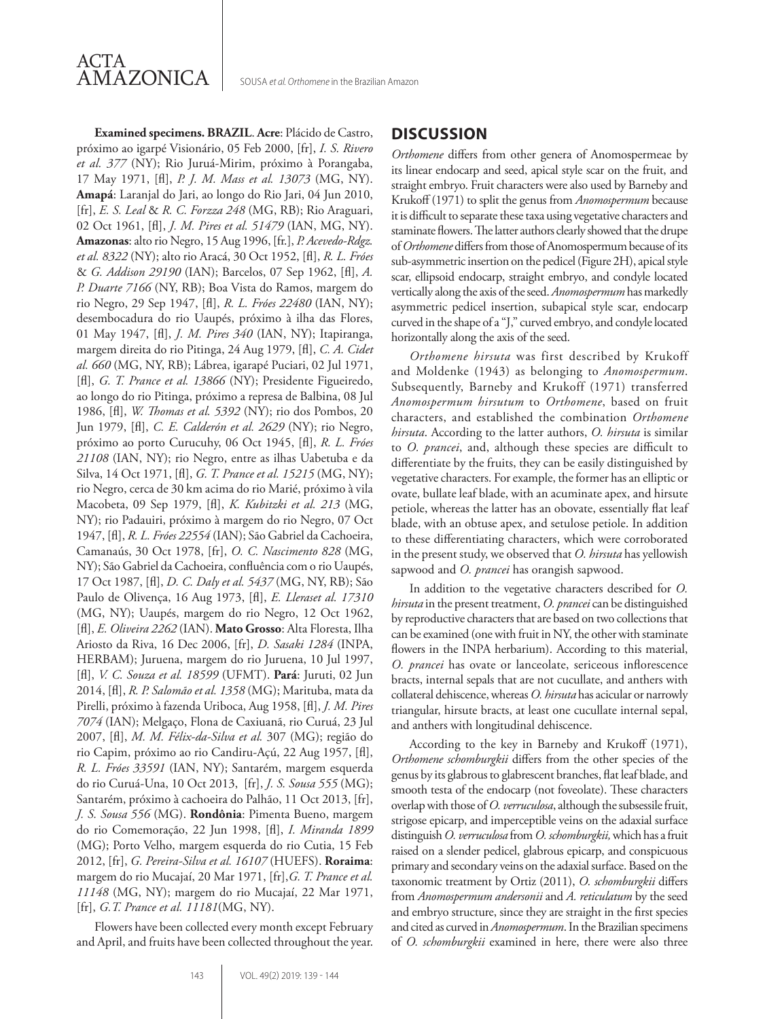

SOUSA *et al. Orthomene* in the Brazilian Amazon

**Examined specimens. BRAZIL**. **Acre**: Plácido de Castro, próximo ao igarpé Visionário, 05 Feb 2000, [fr], *I. S. Rivero et al. 377* (NY); Rio Juruá-Mirim, próximo à Porangaba, 17 May 1971, [fl], *P. J. M. Mass et al. 13073* (MG, NY). **Amapá**: Laranjal do Jari, ao longo do Rio Jari, 04 Jun 2010, [fr], *E. S. Leal* & *R. C. Forzza 248* (MG, RB); Rio Araguari, 02 Oct 1961, [fl], *J. M. Pires et al. 51479* (IAN, MG, NY). **Amazonas**: alto rio Negro, 15 Aug 1996, [fr.], *P. Acevedo-Rdgz. et al. 8322* (NY); alto rio Aracá, 30 Oct 1952, [fl], *R. L. Fróes*  & *G. Addison 29190* (IAN); Barcelos, 07 Sep 1962, [fl], *A. P. Duarte 7166* (NY, RB); Boa Vista do Ramos, margem do rio Negro, 29 Sep 1947, [fl], *R. L. Fróes 22480* (IAN, NY); desembocadura do rio Uaupés, próximo à ilha das Flores, 01 May 1947, [fl], *J. M. Pires 340* (IAN, NY); Itapiranga, margem direita do rio Pitinga, 24 Aug 1979, [fl], *C. A. Cidet al. 660* (MG, NY, RB); Lábrea, igarapé Puciari, 02 Jul 1971, [fl], *G. T. Prance et al. 13866* (NY); Presidente Figueiredo, ao longo do rio Pitinga, próximo a represa de Balbina, 08 Jul 1986, [fl], *W. Thomas et al. 5392* (NY); rio dos Pombos, 20 Jun 1979, [fl], *C. E. Calderón et al. 2629* (NY); rio Negro, próximo ao porto Curucuhy, 06 Oct 1945, [fl], *R. L. Fróes 21108* (IAN, NY); rio Negro, entre as ilhas Uabetuba e da Silva, 14 Oct 1971, [fl], *G. T. Prance et al. 15215* (MG, NY); rio Negro, cerca de 30 km acima do rio Marié, próximo à vila Macobeta, 09 Sep 1979, [fl], *K. Kubitzki et al. 213* (MG, NY); rio Padauiri, próximo à margem do rio Negro, 07 Oct 1947, [fl], *R. L. Fróes 22554* (IAN); São Gabriel da Cachoeira, Camanaús, 30 Oct 1978, [fr], *O. C. Nascimento 828* (MG, NY); São Gabriel da Cachoeira, confluência com o rio Uaupés, 17 Oct 1987, [fl], *D. C. Daly et al. 5437* (MG, NY, RB); São Paulo de Olivença, 16 Aug 1973, [fl], *E. Lleraset al. 17310* (MG, NY); Uaupés, margem do rio Negro, 12 Oct 1962, [fl], *E. Oliveira 2262* (IAN). **Mato Grosso**: Alta Floresta, Ilha Ariosto da Riva, 16 Dec 2006, [fr], *D. Sasaki 1284* (INPA, HERBAM); Juruena, margem do rio Juruena, 10 Jul 1997, [fl], *V. C. Souza et al. 18599* (UFMT). **Pará**: Juruti, 02 Jun 2014, [fl], *R. P. Salomão et al. 1358* (MG); Marituba, mata da Pirelli, próximo à fazenda Uriboca, Aug 1958, [fl], *J. M. Pires 7074* (IAN); Melgaço, Flona de Caxiuanã, rio Curuá, 23 Jul 2007, [fl], *M. M. Félix-da-Silva et al.* 307 (MG); região do rio Capim, próximo ao rio Candiru-Açú, 22 Aug 1957, [fl], *R. L. Fróes 33591* (IAN, NY); Santarém, margem esquerda do rio Curuá-Una, 10 Oct 2013, [fr], *J. S. Sousa 555* (MG); Santarém, próximo à cachoeira do Palhão, 11 Oct 2013, [fr], *J. S. Sousa 556* (MG). **Rondônia**: Pimenta Bueno, margem do rio Comemoração, 22 Jun 1998, [fl], *I. Miranda 1899* (MG); Porto Velho, margem esquerda do rio Cutia, 15 Feb 2012, [fr], *G. Pereira-Silva et al. 16107* (HUEFS). **Roraima**: margem do rio Mucajaí, 20 Mar 1971, [fr],*G. T. Prance et al. 11148* (MG, NY); margem do rio Mucajaí, 22 Mar 1971, [fr], *G.T. Prance et al. 11181*(MG, NY).

Flowers have been collected every month except February and April, and fruits have been collected throughout the year.

# **DISCUSSION**

*Orthomene* differs from other genera of Anomospermeae by its linear endocarp and seed, apical style scar on the fruit, and straight embryo. Fruit characters were also used by Barneby and Krukoff (1971) to split the genus from *Anomospermum* because it is difficult to separate these taxa using vegetative characters and staminate flowers. The latter authors clearly showed that the drupe of *Orthomene* differs from those of Anomospermum because of its sub-asymmetric insertion on the pedicel (Figure 2H), apical style scar, ellipsoid endocarp, straight embryo, and condyle located vertically along the axis of the seed. *Anomospermum* has markedly asymmetric pedicel insertion, subapical style scar, endocarp curved in the shape of a "J," curved embryo, and condyle located horizontally along the axis of the seed.

*Orthomene hirsuta* was first described by Krukoff and Moldenke (1943) as belonging to *Anomospermum*. Subsequently, Barneby and Krukoff (1971) transferred *Anomospermum hirsutum* to *Orthomene*, based on fruit characters, and established the combination *Orthomene hirsuta*. According to the latter authors, *O. hirsuta* is similar to *O. prancei*, and, although these species are difficult to differentiate by the fruits, they can be easily distinguished by vegetative characters. For example, the former has an elliptic or ovate, bullate leaf blade, with an acuminate apex, and hirsute petiole, whereas the latter has an obovate, essentially flat leaf blade, with an obtuse apex, and setulose petiole. In addition to these differentiating characters, which were corroborated in the present study, we observed that *O. hirsuta* has yellowish sapwood and *O. prancei* has orangish sapwood.

In addition to the vegetative characters described for *O. hirsuta* in the present treatment, *O. prancei* can be distinguished by reproductive characters that are based on two collections that can be examined (one with fruit in NY, the other with staminate flowers in the INPA herbarium). According to this material, *O. prancei* has ovate or lanceolate, sericeous inflorescence bracts, internal sepals that are not cucullate, and anthers with collateral dehiscence, whereas *O. hirsuta* has acicular or narrowly triangular, hirsute bracts, at least one cucullate internal sepal, and anthers with longitudinal dehiscence.

According to the key in Barneby and Krukoff (1971), *Orthomene schomburgkii* differs from the other species of the genus by its glabrous to glabrescent branches, flat leaf blade, and smooth testa of the endocarp (not foveolate). These characters overlap with those of *O. verruculosa*, although the subsessile fruit, strigose epicarp, and imperceptible veins on the adaxial surface distinguish *O. verruculosa* from *O. schomburgkii,* which has a fruit raised on a slender pedicel, glabrous epicarp, and conspicuous primary and secondary veins on the adaxial surface. Based on the taxonomic treatment by Ortiz (2011), *O. schomburgkii* differs from *Anomospermum andersonii* and *A. reticulatum* by the seed and embryo structure, since they are straight in the first species and cited as curved in *Anomospermum*. In the Brazilian specimens of *O. schomburgkii* examined in here, there were also three